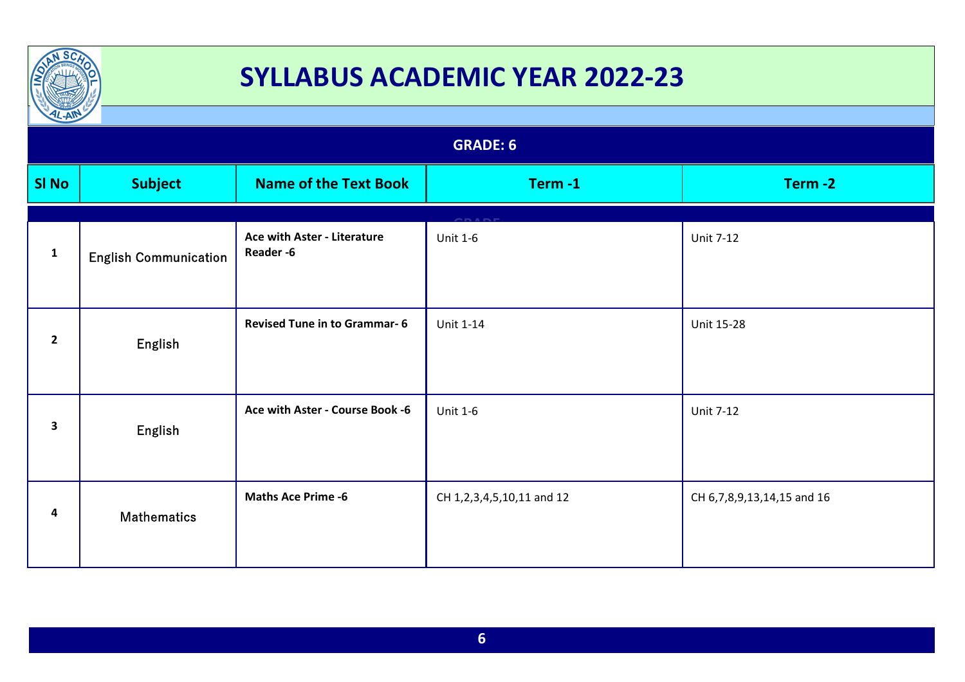

| $\frac{1}{2}$ |                              |                                         |                                 |                            |  |  |
|---------------|------------------------------|-----------------------------------------|---------------------------------|----------------------------|--|--|
|               | <b>GRADE: 6</b>              |                                         |                                 |                            |  |  |
| <b>SI No</b>  | <b>Subject</b>               | <b>Name of the Text Book</b>            | Term-1                          | Term-2                     |  |  |
| $\mathbf{1}$  | <b>English Communication</b> | Ace with Aster - Literature<br>Reader-6 | <b>Unit 1-6</b>                 | <b>Unit 7-12</b>           |  |  |
| $\mathbf{2}$  | English                      | <b>Revised Tune in to Grammar-6</b>     | Unit 1-14                       | Unit 15-28                 |  |  |
| 3             | English                      | Ace with Aster - Course Book -6         | <b>Unit 1-6</b>                 | <b>Unit 7-12</b>           |  |  |
| 4             | <b>Mathematics</b>           | <b>Maths Ace Prime -6</b>               | CH 1, 2, 3, 4, 5, 10, 11 and 12 | CH 6,7,8,9,13,14,15 and 16 |  |  |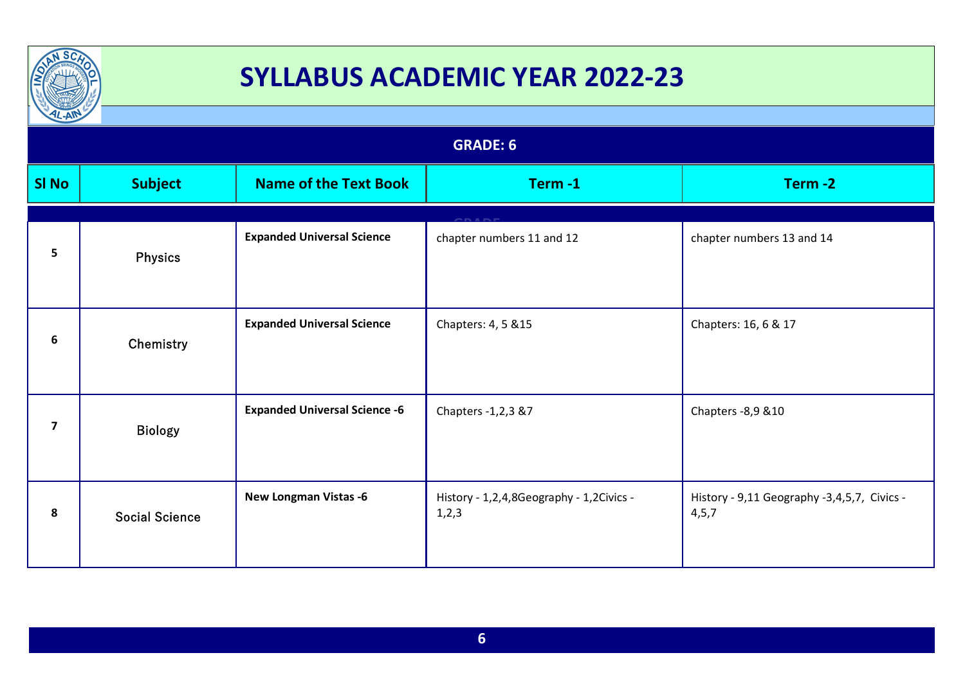

| $L-AW$         |                       |                                      | <b>GRADE: 6</b>                                     |                                                        |
|----------------|-----------------------|--------------------------------------|-----------------------------------------------------|--------------------------------------------------------|
|                |                       |                                      |                                                     |                                                        |
| <b>SI No</b>   | <b>Subject</b>        | <b>Name of the Text Book</b>         | Term-1                                              | Term-2                                                 |
|                |                       |                                      |                                                     |                                                        |
| 5              | <b>Physics</b>        | <b>Expanded Universal Science</b>    | chapter numbers 11 and 12                           | chapter numbers 13 and 14                              |
| 6              | Chemistry             | <b>Expanded Universal Science</b>    | Chapters: 4, 5 & 15                                 | Chapters: 16, 6 & 17                                   |
| $\overline{7}$ | <b>Biology</b>        | <b>Expanded Universal Science -6</b> | Chapters -1,2,3 &7                                  | Chapters - 8,9 & 10                                    |
| 8              | <b>Social Science</b> | <b>New Longman Vistas -6</b>         | History - 1,2,4,8Geography - 1,2Civics -<br>1, 2, 3 | History - 9,11 Geography -3,4,5,7, Civics -<br>4, 5, 7 |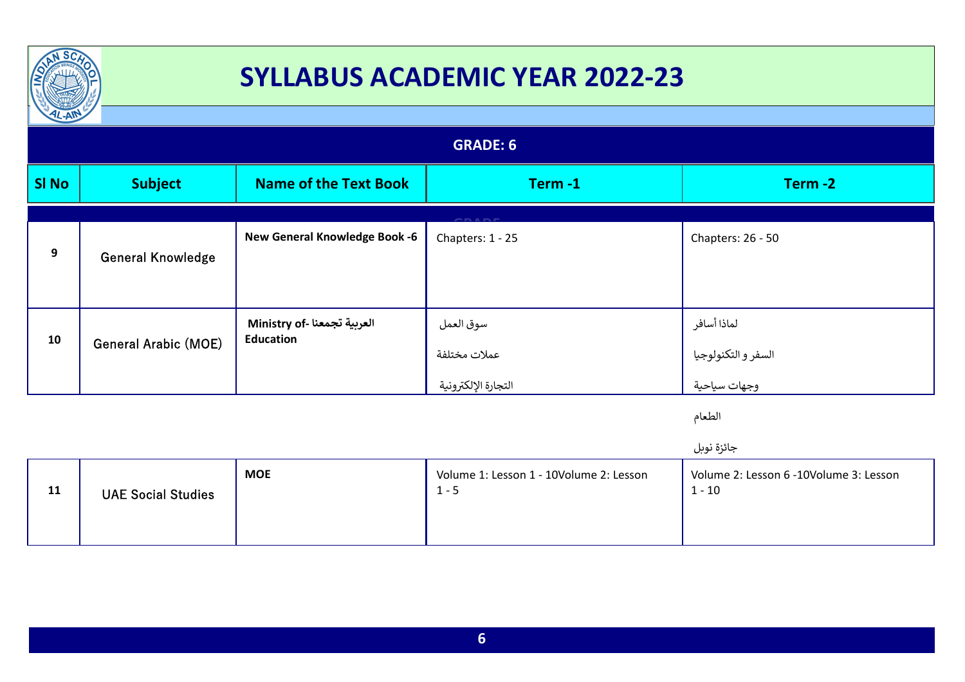

| TL-AIR       |                             |                                                 |                                                  |                                                    |
|--------------|-----------------------------|-------------------------------------------------|--------------------------------------------------|----------------------------------------------------|
|              | <b>GRADE: 6</b>             |                                                 |                                                  |                                                    |
| <b>SI No</b> | <b>Subject</b>              | <b>Name of the Text Book</b>                    | Term-1                                           | Term-2                                             |
|              |                             |                                                 | <b>ARANE</b>                                     |                                                    |
| 9            | <b>General Knowledge</b>    | <b>New General Knowledge Book -6</b>            | Chapters: 1 - 25                                 | Chapters: 26 - 50                                  |
| 10           | <b>General Arabic (MOE)</b> | العربية تجمعنا -Ministry of<br><b>Education</b> | سوق العمل<br>عملات مختلفة<br>التجارة الإلكترونية | لماذا أسافر<br>السفر و التكنولوجيا<br>وجهات سياحية |

الطعام

جائزة نوبل

|  | 11 | <b>UAE Social Studies</b> | <b>MOE</b> | Volume 1: Lesson 1 - 10Volume 2: Lesson<br>1 - 5 | Volume 2: Lesson 6 -10Volume 3: Lesson<br>$1 - 10$ |
|--|----|---------------------------|------------|--------------------------------------------------|----------------------------------------------------|
|--|----|---------------------------|------------|--------------------------------------------------|----------------------------------------------------|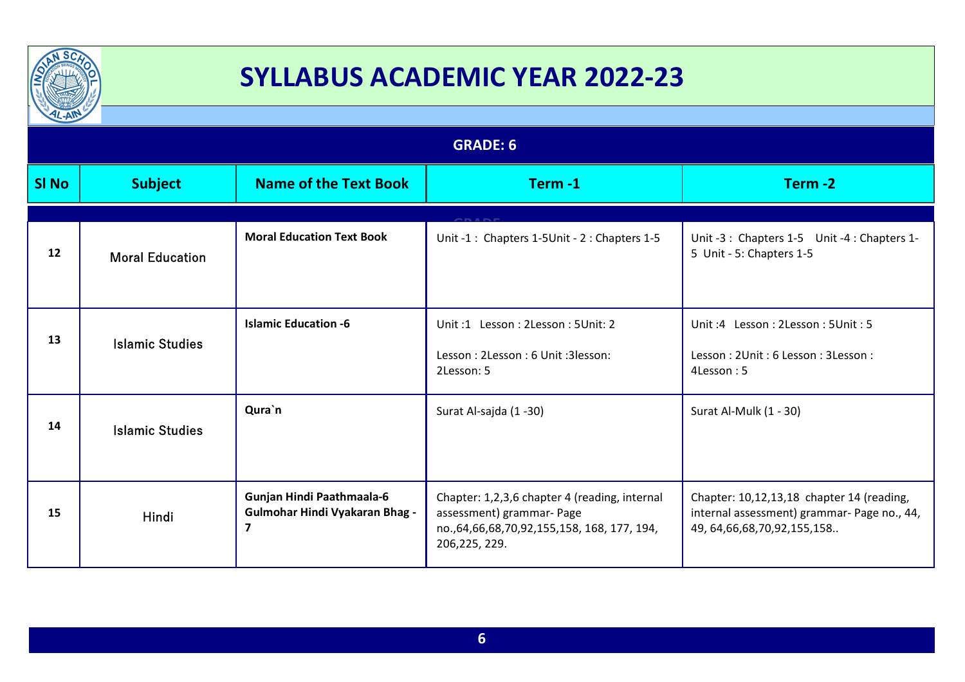

| $\frac{1}{2}$ |                        |                                                                                               |                                                                                                                                                  |                                                                                                                              |  |
|---------------|------------------------|-----------------------------------------------------------------------------------------------|--------------------------------------------------------------------------------------------------------------------------------------------------|------------------------------------------------------------------------------------------------------------------------------|--|
|               | <b>GRADE: 6</b>        |                                                                                               |                                                                                                                                                  |                                                                                                                              |  |
| <b>SI No</b>  | <b>Subject</b>         | <b>Name of the Text Book</b>                                                                  | Term-1                                                                                                                                           | Term-2                                                                                                                       |  |
|               |                        |                                                                                               |                                                                                                                                                  |                                                                                                                              |  |
| 12            | <b>Moral Education</b> | <b>Moral Education Text Book</b>                                                              | Unit -1: Chapters 1-5Unit - 2: Chapters 1-5                                                                                                      | Unit -3 : Chapters 1-5 Unit -4 : Chapters 1-<br>5 Unit - 5: Chapters 1-5                                                     |  |
| 13            | <b>Islamic Studies</b> | <b>Islamic Education -6</b>                                                                   | Unit:1 Lesson: 2Lesson: 5Unit: 2                                                                                                                 | Unit: 4 Lesson: 2Lesson: 5Unit: 5                                                                                            |  |
|               |                        |                                                                                               | Lesson: 2Lesson: 6 Unit: 3lesson:<br>2Lesson: 5                                                                                                  | Lesson: 2Unit: 6 Lesson: 3 Lesson:<br>4Lesson: 5                                                                             |  |
| 14            | <b>Islamic Studies</b> | Qura`n                                                                                        | Surat Al-sajda (1 -30)                                                                                                                           | Surat Al-Mulk (1 - 30)                                                                                                       |  |
| 15            | Hindi                  | Gunjan Hindi Paathmaala-6<br><b>Gulmohar Hindi Vyakaran Bhag -</b><br>$\overline{\mathbf{z}}$ | Chapter: 1,2,3,6 chapter 4 (reading, internal<br>assessment) grammar- Page<br>no., 64, 66, 68, 70, 92, 155, 158, 168, 177, 194,<br>206,225, 229. | Chapter: 10,12,13,18 chapter 14 (reading,<br>internal assessment) grammar- Page no., 44,<br>49, 64, 66, 68, 70, 92, 155, 158 |  |